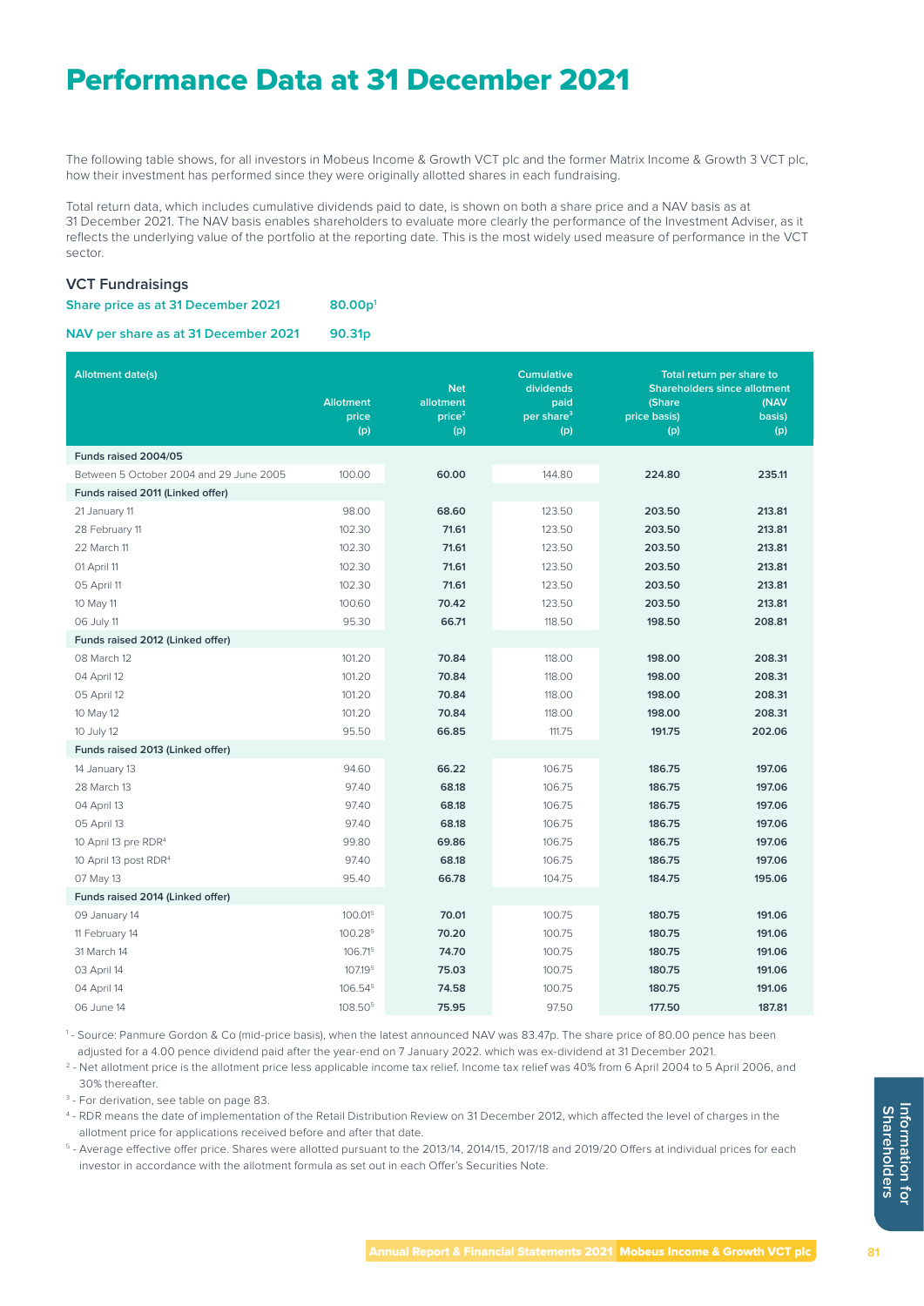### Performance Data at 31 December 2021

The following table shows, for all investors in Mobeus Income & Growth VCT plc and the former Matrix Income & Growth 3 VCT plc, how their investment has performed since they were originally allotted shares in each fundraising.

Total return data, which includes cumulative dividends paid to date, is shown on both a share price and a NAV basis as at 31 December 2021. The NAV basis enables shareholders to evaluate more clearly the performance of the Investment Adviser, as it reflects the underlying value of the portfolio at the reporting date. This is the most widely used measure of performance in the VCT sector.

#### **VCT Fundraisings**

|  | Share price as at 31 December 2021 | 80.00 <sub>p</sub> |
|--|------------------------------------|--------------------|
|  |                                    |                    |

#### **NAV** per share as at 31 December 2021 90.31p

| <b>Allotment date(s)</b>                |                                  | <b>Net</b>                             | <b>Cumulative</b><br>dividends        | Total return per share to<br><b>Shareholders since allotment</b> |                       |
|-----------------------------------------|----------------------------------|----------------------------------------|---------------------------------------|------------------------------------------------------------------|-----------------------|
|                                         | <b>Allotment</b><br>price<br>(p) | allotment<br>price <sup>2</sup><br>(p) | paid<br>per share <sup>3</sup><br>(p) | (Share<br>price basis)<br>(p)                                    | (NAV<br>basis)<br>(p) |
| Funds raised 2004/05                    |                                  |                                        |                                       |                                                                  |                       |
| Between 5 October 2004 and 29 June 2005 | 100.00                           | 60.00                                  | 144.80                                | 224.80                                                           | 235.11                |
| Funds raised 2011 (Linked offer)        |                                  |                                        |                                       |                                                                  |                       |
| 21 January 11                           | 98.00                            | 68.60                                  | 123.50                                | 203.50                                                           | 213.81                |
| 28 February 11                          | 102.30                           | 71.61                                  | 123.50                                | 203.50                                                           | 213.81                |
| 22 March 11                             | 102.30                           | 71.61                                  | 123.50                                | 203.50                                                           | 213.81                |
| 01 April 11                             | 102.30                           | 71.61                                  | 123.50                                | 203.50                                                           | 213.81                |
| 05 April 11                             | 102.30                           | 71.61                                  | 123.50                                | 203.50                                                           | 213.81                |
| 10 May 11                               | 100.60                           | 70.42                                  | 123.50                                | 203.50                                                           | 213.81                |
| 06 July 11                              | 95.30                            | 66.71                                  | 118.50                                | 198.50                                                           | 208.81                |
| Funds raised 2012 (Linked offer)        |                                  |                                        |                                       |                                                                  |                       |
| 08 March 12                             | 101.20                           | 70.84                                  | 118.00                                | 198.00                                                           | 208.31                |
| 04 April 12                             | 101.20                           | 70.84                                  | 118.00                                | 198.00                                                           | 208.31                |
| 05 April 12                             | 101.20                           | 70.84                                  | 118.00                                | 198.00                                                           | 208.31                |
| 10 May 12                               | 101.20                           | 70.84                                  | 118.00                                | 198.00                                                           | 208.31                |
| 10 July 12                              | 95.50                            | 66.85                                  | 111.75                                | 191.75                                                           | 202.06                |
| Funds raised 2013 (Linked offer)        |                                  |                                        |                                       |                                                                  |                       |
| 14 January 13                           | 94.60                            | 66.22                                  | 106.75                                | 186.75                                                           | 197.06                |
| 28 March 13                             | 97.40                            | 68.18                                  | 106.75                                | 186.75                                                           | 197.06                |
| 04 April 13                             | 97.40                            | 68.18                                  | 106.75                                | 186.75                                                           | 197.06                |
| 05 April 13                             | 97.40                            | 68.18                                  | 106.75                                | 186.75                                                           | 197.06                |
| 10 April 13 pre RDR <sup>4</sup>        | 99.80                            | 69.86                                  | 106.75                                | 186.75                                                           | 197.06                |
| 10 April 13 post RDR <sup>4</sup>       | 97.40                            | 68.18                                  | 106.75                                | 186.75                                                           | 197.06                |
| 07 May 13                               | 95.40                            | 66.78                                  | 104.75                                | 184.75                                                           | 195.06                |
| Funds raised 2014 (Linked offer)        |                                  |                                        |                                       |                                                                  |                       |
| 09 January 14                           | 100.015                          | 70.01                                  | 100.75                                | 180.75                                                           | 191.06                |
| 11 February 14                          | 100.285                          | 70.20                                  | 100.75                                | 180.75                                                           | 191.06                |
| 31 March 14                             | 106.715                          | 74.70                                  | 100.75                                | 180.75                                                           | 191.06                |
| 03 April 14                             | 107.195                          | 75.03                                  | 100.75                                | 180.75                                                           | 191.06                |
| 04 April 14                             | 106.54 <sup>5</sup>              | 74.58                                  | 100.75                                | 180.75                                                           | 191.06                |
| 06 June 14                              | 108.50 <sup>5</sup>              | 75.95                                  | 97.50                                 | 177.50                                                           | 187.81                |

1 - Source: Panmure Gordon & Co (mid-price basis), when the latest announced NAV was 83.47p. The share price of 80.00 pence has been adjusted for a 4.00 pence dividend paid after the year-end on 7 January 2022. which was ex-dividend at 31 December 2021.

<sup>2</sup> - Net allotment price is the allotment price less applicable income tax relief. Income tax relief was 40% from 6 April 2004 to 5 April 2006, and 30% thereafter.

<sup>3</sup> - For derivation, see table on page 83.

4 - RDR means the date of implementation of the Retail Distribution Review on 31 December 2012, which affected the level of charges in the allotment price for applications received before and after that date.

5 - Average effective offer price. Shares were allotted pursuant to the 2013/14, 2014/15, 2017/18 and 2019/20 Offers at individual prices for each investor in accordance with the allotment formula as set out in each Offer's Securities Note.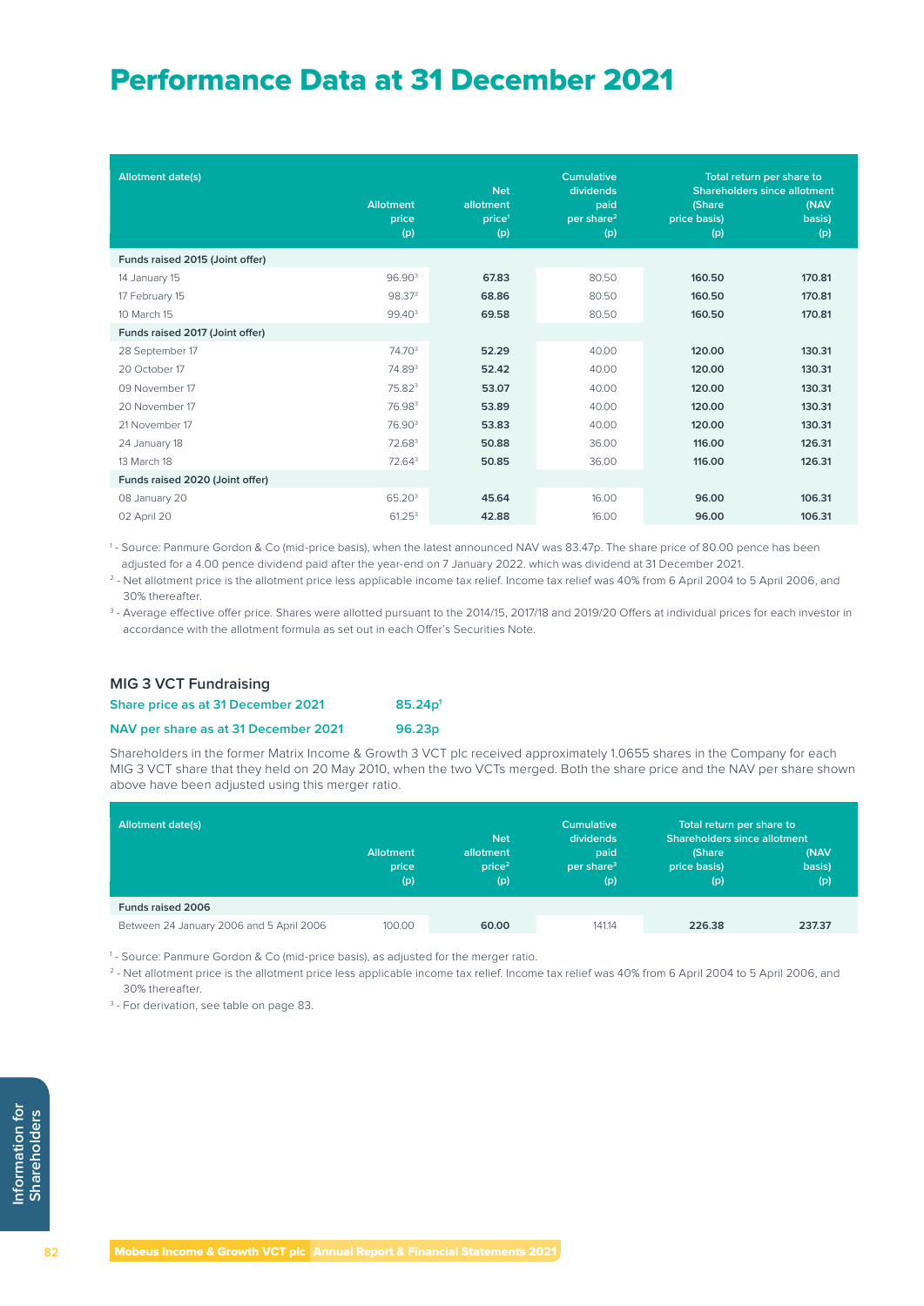## Performance Data at 31 December 2021

| <b>Allotment</b><br>price<br>(p) | <b>Net</b><br>allotment<br>price <sup>1</sup><br>(p) | <b>Cumulative</b><br>dividends<br>paid<br>per share <sup>2</sup><br>(p) | Total return per share to<br><b>Shareholders since allotment</b><br>(NAV<br>(Share<br>basis)<br>price basis)<br>(p)<br>(p) |        |
|----------------------------------|------------------------------------------------------|-------------------------------------------------------------------------|----------------------------------------------------------------------------------------------------------------------------|--------|
|                                  |                                                      |                                                                         |                                                                                                                            |        |
| 96.90 <sup>3</sup>               | 67.83                                                | 80.50                                                                   | 160.50                                                                                                                     | 170.81 |
| 98.37 <sup>3</sup>               | 68.86                                                | 80.50                                                                   | 160.50                                                                                                                     | 170.81 |
| 99.40 <sup>3</sup>               | 69.58                                                | 80.50                                                                   | 160.50                                                                                                                     | 170.81 |
|                                  |                                                      |                                                                         |                                                                                                                            |        |
| 74.70 <sup>3</sup>               | 52.29                                                | 40.00                                                                   | 120.00                                                                                                                     | 130.31 |
| 74.893                           | 52.42                                                | 40.00                                                                   | 120.00                                                                                                                     | 130.31 |
| 75.82 <sup>3</sup>               | 53.07                                                | 40.00                                                                   | 120.00                                                                                                                     | 130.31 |
| 76.983                           | 53.89                                                | 40.00                                                                   | 120.00                                                                                                                     | 130.31 |
| 76.903                           | 53.83                                                | 40.00                                                                   | 120.00                                                                                                                     | 130.31 |
| 72.683                           | 50.88                                                | 36.00                                                                   | 116.00                                                                                                                     | 126.31 |
| 72.64 <sup>3</sup>               | 50.85                                                | 36.00                                                                   | 116.00                                                                                                                     | 126.31 |
|                                  |                                                      |                                                                         |                                                                                                                            |        |
| 65.20 <sup>3</sup>               | 45.64                                                | 16.00                                                                   | 96.00                                                                                                                      | 106.31 |
| 61.25 <sup>3</sup>               | 42.88                                                | 16.00                                                                   | 96.00                                                                                                                      | 106.31 |
|                                  |                                                      |                                                                         |                                                                                                                            |        |

1 - Source: Panmure Gordon & Co (mid-price basis), when the latest announced NAV was 83.47p. The share price of 80.00 pence has been adjusted for a 4.00 pence dividend paid after the year-end on 7 January 2022. which was dividend at 31 December 2021.

<sup>2</sup> - Net allotment price is the allotment price less applicable income tax relief. Income tax relief was 40% from 6 April 2004 to 5 April 2006, and 30% thereafter.

3 - Average effective offer price. Shares were allotted pursuant to the 2014/15, 2017/18 and 2019/20 Offers at individual prices for each investor in accordance with the allotment formula as set out in each Offer's Securities Note.

### **MIG 3 VCT Fundraising**

| Share price as at 31 December 2021   | 85.24p <sup>1</sup> |  |  |
|--------------------------------------|---------------------|--|--|
| NAV per share as at 31 December 2021 | 96.23 <sub>p</sub>  |  |  |

Shareholders in the former Matrix Income & Growth 3 VCT plc received approximately 1.0655 shares in the Company for each MIG 3 VCT share that they held on 20 May 2010, when the two VCTs merged. Both the share price and the NAV per share shown above have been adjusted using this merger ratio.

| <b>Allotment date(s)</b>                 |                                  | <b>Net</b>                             | <b>Cumulative</b><br>dividends        | Total return per share to<br><b>Shareholders since allotment</b> |                       |
|------------------------------------------|----------------------------------|----------------------------------------|---------------------------------------|------------------------------------------------------------------|-----------------------|
|                                          | <b>Allotment</b><br>price<br>(p) | allotment<br>price <sup>2</sup><br>(p) | paid<br>per share <sup>3</sup><br>(p) | <b>(Share</b><br>price basis)<br>(p)                             | (NAV<br>basis)<br>(p) |
| Funds raised 2006                        |                                  |                                        |                                       |                                                                  |                       |
| Between 24 January 2006 and 5 April 2006 | 100.00                           | 60.00                                  | 141.14                                | 226.38                                                           | 237.37                |

<sup>1</sup> - Source: Panmure Gordon & Co (mid-price basis), as adjusted for the merger ratio.

<sup>2</sup> - Net allotment price is the allotment price less applicable income tax relief. Income tax relief was 40% from 6 April 2004 to 5 April 2006, and 30% thereafter.

<sup>3</sup> - For derivation, see table on page 83.